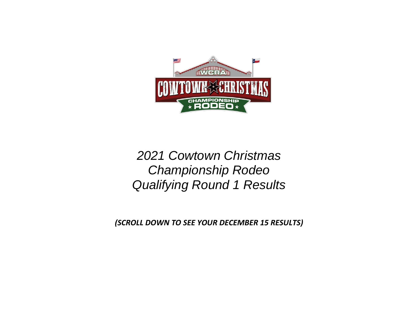

*2021 Cowtown Christmas Championship Rodeo Qualifying Round 1 Results*

*(SCROLL DOWN TO SEE YOUR DECEMBER 15 RESULTS)*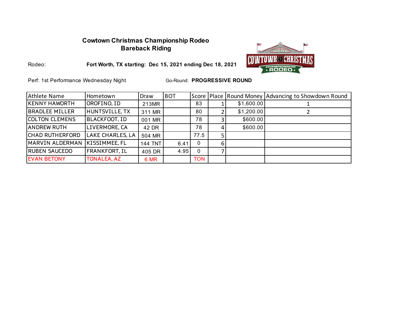### **Cowtown Christmas Championship Rodeo Bareback Riding**



Rodeo:

**Fort Worth, TX starting: Dec 15, 2021 ending Dec 18, 2021**

Perf: 1st Performance Wednesday Night

| Athlete Name          | Hometown              | Draw           | <b>BOT</b> |              |   |            | Score   Place   Round Money   Advancing to Showdown Round |
|-----------------------|-----------------------|----------------|------------|--------------|---|------------|-----------------------------------------------------------|
| KENNY HAWORTH         | OROFINO, ID           | 213MR          |            | 83           |   | \$1,600.00 |                                                           |
| <b>BRADLEE MILLER</b> | <b>HUNTSVILLE, TX</b> | 311 MR         |            | 80           |   | \$1,200.00 |                                                           |
| <b>COLTON CLEMENS</b> | BLACKFOOT, ID         | 001 MR         |            | 78           |   | \$600.00   |                                                           |
| <b>ANDREW RUTH</b>    | LIVERMORE, CA         | 42 DR          |            | 78           |   | \$600.00   |                                                           |
| ICHAD RUTHERFORD      | LAKE CHARLES, LA      | 504 MR         |            | 77.5         |   |            |                                                           |
| MARVIN ALDERMAN       | KISSIMMEE, FL         | <b>144 TNT</b> | 6.41       | $\mathbf{0}$ | 6 |            |                                                           |
| <b>RUBEN SAUCEDO</b>  | <b>FRANKFORT, IL</b>  | 405 DR         | 4.95       | 0            |   |            |                                                           |
| <b>EVAN BETONY</b>    | <b>TONALEA, AZ</b>    | 6 MR           |            | <b>TON</b>   |   |            |                                                           |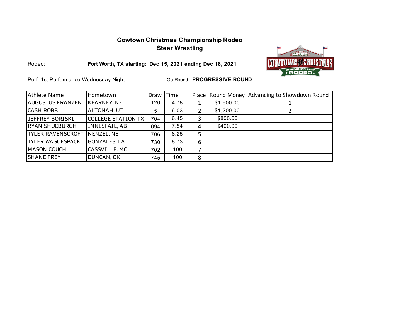### **Cowtown Christmas Championship Rodeo Steer Wrestling**



Rodeo:

**Fort Worth, TX starting: Dec 15, 2021 ending Dec 18, 2021**

Perf: 1st Performance Wednesday Night

| Athlete Name             | Hometown                  | Draw | Time |   |            | Place Round Money Advancing to Showdown Round |
|--------------------------|---------------------------|------|------|---|------------|-----------------------------------------------|
| <b>AUGUSTUS FRANZEN</b>  | <b>KEARNEY, NE</b>        | 120  | 4.78 | 1 | \$1,600.00 |                                               |
| <b>CASH ROBB</b>         | ALTONAH, UT               | 5    | 6.03 | 2 | \$1,200.00 |                                               |
| IJEFFREY BORISKI         | <b>COLLEGE STATION TX</b> | 704  | 6.45 | 3 | \$800.00   |                                               |
| <b>RYAN SHUCBURGH</b>    | INNISFAIL, AB             | 694  | 7.54 | 4 | \$400.00   |                                               |
| <b>TYLER RAVENSCROFT</b> | NENZEL, NE                | 706  | 8.25 | 5 |            |                                               |
| <b>TYLER WAGUESPACK</b>  | <b>GONZALES, LA</b>       | 730  | 8.73 | 6 |            |                                               |
| <b>MASON COUCH</b>       | CASSVILLE, MO             | 702  | 100  |   |            |                                               |
| <b>SHANE FREY</b>        | DUNCAN, OK                | 745  | 100  | 8 |            |                                               |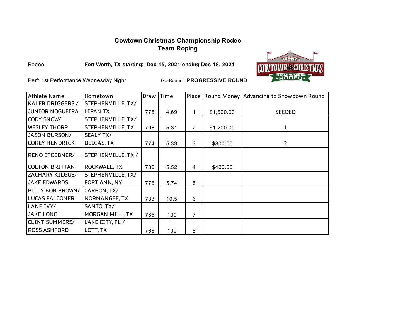# **Cowtown Christmas Championship Rodeo Team Roping**



Rodeo:

**Fort Worth, TX starting: Dec 15, 2021 ending Dec 18, 2021**

Perf: 1st Performance Wednesday Night

| Athlete Name           | Hometown            | Draw | <b>Time</b> |   |            | Place Round Money Advancing to Showdown Round |
|------------------------|---------------------|------|-------------|---|------------|-----------------------------------------------|
| KALEB DRIGGERS /       | STEPHENVILLE, TX/   |      |             |   |            |                                               |
| <b>JUNIOR NOGUEIRA</b> | <b>LIPAN TX</b>     | 775  | 4.69        | 1 | \$1,600.00 | <b>SEEDED</b>                                 |
| CODY SNOW/             | STEPHENVILLE, TX/   |      |             |   |            |                                               |
| <b>WESLEY THORP</b>    | STEPHENVILLE, TX    | 798  | 5.31        | 2 | \$1,200.00 | 1                                             |
| <b>JASON BURSON/</b>   | <b>SEALY TX/</b>    |      |             |   |            |                                               |
| <b>COREY HENDRICK</b>  | <b>BEDIAS, TX</b>   | 774  | 5.33        | 3 | \$800.00   | $\overline{2}$                                |
| RENO STOEBNER/         | STEPHENVILLE, TX /  |      |             |   |            |                                               |
| <b>COLTON BRITTAN</b>  | <b>ROCKWALL, TX</b> | 780  | 5.52        | 4 | \$400.00   |                                               |
| ZACHARY KILGUS/        | STEPHENVILLE, TX/   |      |             |   |            |                                               |
| <b>JAKE EDWARDS</b>    | FORT ANN, NY        | 776  | 5.74        | 5 |            |                                               |
| BILLY BOB BROWN/       | CARBON, TX/         |      |             |   |            |                                               |
| <b>LUCAS FALCONER</b>  | NORMANGEE, TX       | 783  | 10.5        | 6 |            |                                               |
| LANE IVY/              | SANTO, TX/          |      |             |   |            |                                               |
| <b>JAKE LONG</b>       | MORGAN MILL, TX     | 785  | 100         | 7 |            |                                               |
| <b>CLINT SUMMERS/</b>  | LAKE CITY, FL /     |      |             |   |            |                                               |
| <b>ROSS ASHFORD</b>    | LOTT, TX            | 768  | 100         | 8 |            |                                               |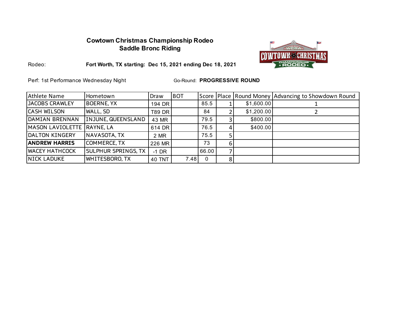### **Cowtown Christmas Championship Rodeo Saddle Bronc Riding**



**Fort Worth, TX starting: Dec 15, 2021 ending Dec 18, 2021**

Perf: 1st Performance Wednesday Night

Rodeo:

| Athlete Name               | Hometown                   | Draw          | <b>BOT</b> |          |    |            | Score   Place   Round Money   Advancing to Showdown Round |
|----------------------------|----------------------------|---------------|------------|----------|----|------------|-----------------------------------------------------------|
| JACOBS CRAWLEY             | <b>BOERNE, YX</b>          | 194 DR        |            | 85.5     |    | \$1,600.00 |                                                           |
| <b>CASH WILSON</b>         | <b>WALL, SD</b>            | <b>T89 DR</b> |            | 84       |    | \$1,200.00 |                                                           |
| DAMIAN BRENNAN             | INJUNE, QUEENSLAND         | 43 MR         |            | 79.5     |    | \$800.00   |                                                           |
| MASON LAVIOLETTE RAYNE, LA |                            | 614 DR        |            | 76.5     | 41 | \$400.00   |                                                           |
| DALTON KINGERY             | NAVASOTA, TX               | 2 MR          |            | 75.5     |    |            |                                                           |
| <b>ANDREW HARRIS</b>       | <b>COMMERCE, TX</b>        | 226 MR        |            | 73       | 6  |            |                                                           |
| <b>WACEY HATHCOCK</b>      | <b>SULPHUR SPRINGS, TX</b> | $-1$ DR       |            | 66.00    |    |            |                                                           |
| <b>NICK LADUKE</b>         | <b>WHITESBORO, TX</b>      | <b>40 TNT</b> | 7.48       | $\Omega$ | 81 |            |                                                           |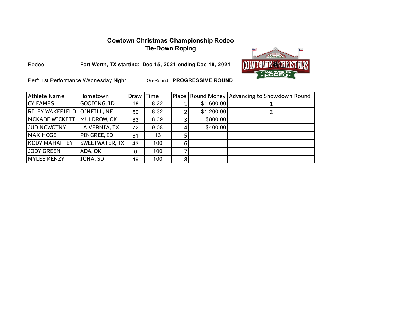# **Cowtown Christmas Championship Rodeo Tie-Down Roping**



**Fort Worth, TX starting: Dec 15, 2021 ending Dec 18, 2021**

Perf: 1st Performance Wednesday Night

Rodeo:

| Athlete Name                | Hometown       | Draw | Time |   |            | Place Round Money Advancing to Showdown Round |
|-----------------------------|----------------|------|------|---|------------|-----------------------------------------------|
| <b>CY EAMES</b>             | GOODING, ID    | 18   | 8.22 |   | \$1,600.00 |                                               |
| RILEY WAKEFIELD O'NEILL, NE |                | 59   | 8.32 |   | \$1,200.00 |                                               |
| <b>MCKADE WICKETT</b>       | MULDROW, OK    | 63   | 8.39 |   | \$800.00   |                                               |
| JUD NOWOTNY                 | LA VERNIA, TX  | 72   | 9.08 |   | \$400.00   |                                               |
| MAX HOGE                    | PINGREE, ID    | 61   | 13   |   |            |                                               |
| <b>KODY MAHAFFEY</b>        | SWEETWATER, TX | 43   | 100  | 6 |            |                                               |
| JODY GREEN                  | ADA, OK        | 6    | 100  |   |            |                                               |
| <b>MYLES KENZY</b>          | IONA, SD       | 49   | 100  | 8 |            |                                               |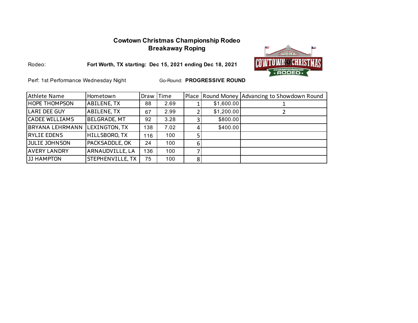# **Cowtown Christmas Championship Rodeo Breakaway Roping**



**Fort Worth, TX starting: Dec 15, 2021 ending Dec 18, 2021**

Perf: 1st Performance Wednesday Night

Rodeo:

| Athlete Name           | Hometown                | Draw | <b>Time</b> |   |            | Place Round Money Advancing to Showdown Round |
|------------------------|-------------------------|------|-------------|---|------------|-----------------------------------------------|
| <b>HOPE THOMPSON</b>   | <b>ABILENE, TX</b>      | 88   | 2.69        |   | \$1,600.00 |                                               |
| <b>LARI DEE GUY</b>    | <b>ABILENE, TX</b>      | 67   | 2.99        |   | \$1,200.00 |                                               |
| <b>CADEE WILLIAMS</b>  | <b>BELGRADE, MT</b>     | 92   | 3.28        | 0 | \$800.00   |                                               |
| <b>BRYANA LEHRMANN</b> | LEXINGTON, TX           | 138  | 7.02        |   | \$400.00   |                                               |
| <b>RYLIE EDENS</b>     | HILLSBORO, TX           | 116  | 100         |   |            |                                               |
| <b>JULIE JOHNSON</b>   | <b>PACKSADDLE, OK</b>   | 24   | 100         |   |            |                                               |
| <b>AVERY LANDRY</b>    | ARNAUDVILLE, LA         | 136  | 100         |   |            |                                               |
| <b>JJ HAMPTON</b>      | <b>STEPHENVILLE, TX</b> | 75   | 100         | 8 |            |                                               |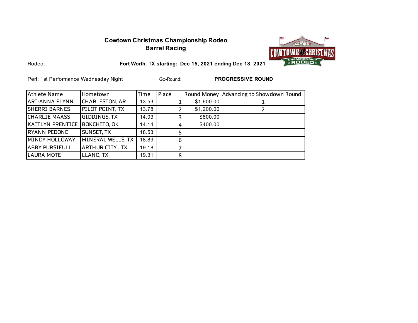## **Cowtown Christmas Championship Rodeo Barrel Racing**



Rodeo:

**Fort Worth, TX starting: Dec 15, 2021 ending Dec 18, 2021**

Perf: 1st Performance Wednesday Night **Base Community** Go-Round: **PROGRESSIVE ROUND** 

Go-Round:

| Athlete Name           | Hometown               | Time  | Place          |            | Round Money Advancing to Showdown Round |
|------------------------|------------------------|-------|----------------|------------|-----------------------------------------|
| ARI-ANNA FLYNN         | <b>CHARLESTON, AR</b>  | 13.53 |                | \$1,600.00 |                                         |
| <b>SHERRI BARNES</b>   | PILOT POINT, TX        | 13.78 |                | \$1,200.00 |                                         |
| <b>CHARLIE MAASS</b>   | GIDDINGS, TX           | 14.03 |                | \$800.00   |                                         |
| KAITLYN PRENTICE       | <b>BOKCHITO, OK</b>    | 14.14 |                | \$400.00   |                                         |
| <b>RYANN PEDONE</b>    | SUNSET, TX             | 18.53 |                |            |                                         |
| <b>IMINDY HOLLOWAY</b> | MINERAL WELLS, TX      | 18.89 | 6              |            |                                         |
| <b>ABBY PURSIFULL</b>  | <b>ARTHUR CITY, TX</b> | 19.18 |                |            |                                         |
| <b>LAURA MOTE</b>      | LLANO, TX              | 19.31 | 8 <sup>1</sup> |            |                                         |